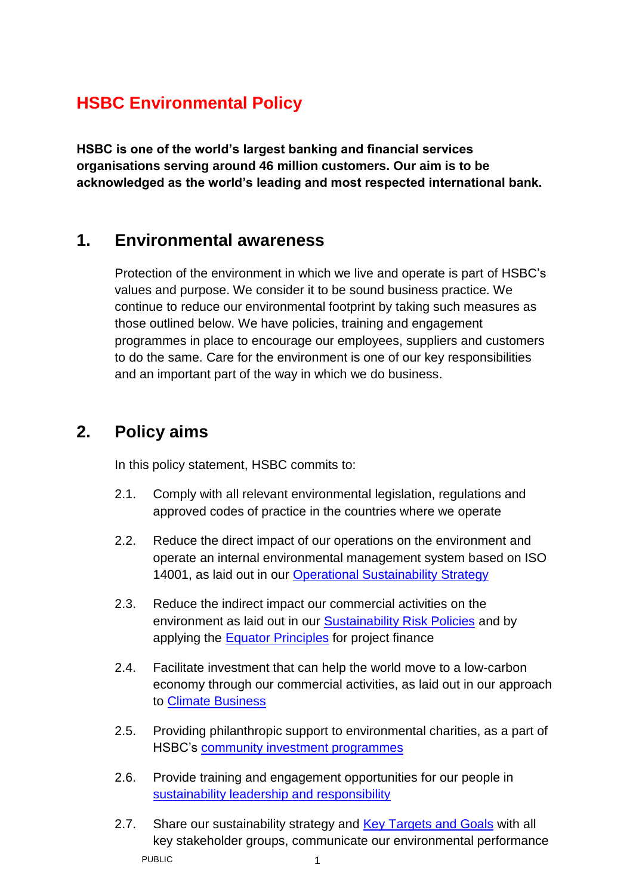## **HSBC Environmental Policy**

**HSBC is one of the world's largest banking and financial services organisations serving around 46 million customers. Our aim is to be acknowledged as the world's leading and most respected international bank.**

## **1. Environmental awareness**

Protection of the environment in which we live and operate is part of HSBC's values and purpose. We consider it to be sound business practice. We continue to reduce our environmental footprint by taking such measures as those outlined below. We have policies, training and engagement programmes in place to encourage our employees, suppliers and customers to do the same. Care for the environment is one of our key responsibilities and an important part of the way in which we do business.

## **2. Policy aims**

In this policy statement, HSBC commits to:

- 2.1. Comply with all relevant environmental legislation, regulations and approved codes of practice in the countries where we operate
- 2.2. Reduce the direct impact of our operations on the environment and operate an internal environmental management system based on ISO 14001, as laid out in our [Operational Sustainability Strategy](http://www.hsbc.com/our-approach/sustainability/operations)
- 2.3. Reduce the indirect impact our commercial activities on the environment as laid out in our [Sustainability Risk Policies](http://www.hsbc.com/our-approach/sustainability/finance) and by applying the [Equator Principles](http://www.hsbc.com/our-approach/sustainability/finance/equator-principles) for project finance
- 2.4. Facilitate investment that can help the world move to a low-carbon economy through our commercial activities, as laid out in our approach to [Climate Business](http://www.hsbc.com/our-approach/sustainability/finance/climate-business)
- 2.5. Providing philanthropic support to environmental charities, as a part of HSBC's [community investment programmes](http://www.hsbc.com/our-approach/sustainability/communities)
- 2.6. Provide training and engagement opportunities for our people in [sustainability leadership and responsibility](http://www.gbm.hsbc.com/solutions/sustainable-financing/q3-newsletter-2016/hsbc-sustainability-leadership-programme)
- PUBLIC 2002 12:00:00 12:00:00 12:00:00 12:00:00 12:00:00 12:00:00 12:00:00 12:00:00 12:00:00 12:00:00 12:00:00 12:00:00 12:00:00 12:00:00 12:00:00 12:00:00 12:00:00 12:00:00 12:00:00 12:00:00 12:00:00 12:00:00 12:00:00 12: 2.7. Share our sustainability strategy and [Key Targets and Goals](http://www.hsbc.com/~/media/hsbc-com/our-approach/sustainability/reports-and-documentation/key-facts-at-a-glance.pdf) with all key stakeholder groups, communicate our environmental performance